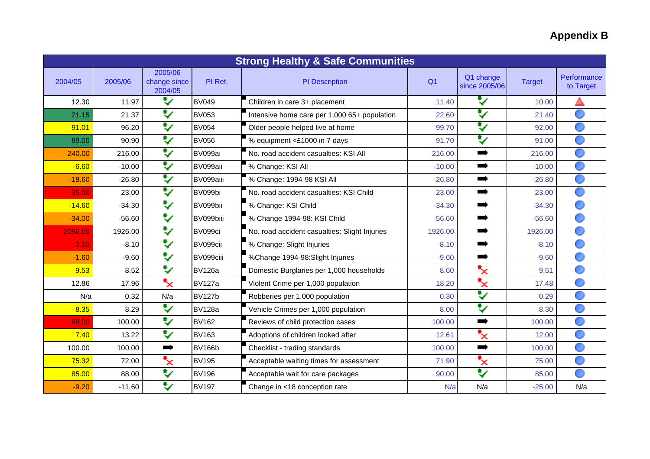## **Appendix B**

| <b>Strong Healthy &amp; Safe Communities</b> |          |                                    |               |                                               |                |                                                                                                                                                                                                                               |               |                          |
|----------------------------------------------|----------|------------------------------------|---------------|-----------------------------------------------|----------------|-------------------------------------------------------------------------------------------------------------------------------------------------------------------------------------------------------------------------------|---------------|--------------------------|
| 2004/05                                      | 2005/06  | 2005/06<br>change since<br>2004/05 | PI Ref.       | <b>PI</b> Description                         | Q <sub>1</sub> | Q1 change<br>since 2005/06                                                                                                                                                                                                    | <b>Target</b> | Performance<br>to Target |
| 12.30                                        | 11.97    | ₩                                  | <b>BV049</b>  | Children in care 3+ placement                 | 11.40          | Y                                                                                                                                                                                                                             | 10.00         |                          |
| 21.15                                        | 21.37    | ₩                                  | <b>BV053</b>  | Intensive home care per 1,000 65+ population  | 22.60          | $\blacktriangledown$                                                                                                                                                                                                          | 21.40         |                          |
| 91.01                                        | 96.20    | ♥                                  | <b>BV054</b>  | Older people helped live at home              | 99.70          | $\mathbf{v}$                                                                                                                                                                                                                  | 92.00         |                          |
| 89.00                                        | 90.90    | ₩                                  | <b>BV056</b>  | % equipment <£1000 in 7 days                  | 91.70          | V                                                                                                                                                                                                                             | 91.00         |                          |
| 240.00                                       | 216.00   | ₹                                  | BV099ai       | No. road accident casualties: KSI All         | 216.00         | andro and the contract of the contract of the contract of the contract of the contract of the contract of the contract of the contract of the contract of the contract of the contract of the contract of the contract of the | 216.00        |                          |
| $-6.60$                                      | $-10.00$ | ₹                                  | BV099aii      | % Change: KSI All                             | $-10.00$       |                                                                                                                                                                                                                               | $-10.00$      |                          |
| $-18.60$                                     | $-26.80$ | ₩                                  | BV099aiii     | % Change: 1994-98 KSI All                     | $-26.80$       | $\blacksquare$                                                                                                                                                                                                                | $-26.80$      |                          |
| 35.00                                        | 23.00    | ₩                                  | BV099bi       | No. road accident casualties: KSI Child       | 23.00          | $\rightarrow$                                                                                                                                                                                                                 | 23.00         |                          |
| $-14.60$                                     | $-34.30$ | ₹                                  | BV099bii      | % Change: KSI Child                           | $-34.30$       | т,                                                                                                                                                                                                                            | $-34.30$      |                          |
| $-34.00$                                     | $-56.60$ | ₹                                  | BV099biii     | % Change 1994-98: KSI Child                   | $-56.60$       | $\rightarrow$                                                                                                                                                                                                                 | $-56.60$      |                          |
| 2096.00                                      | 1926.00  | ₹                                  | BV099ci       | No. road accident casualties: Slight Injuries | 1926.00        | mari di Santonia.<br>Manazarta                                                                                                                                                                                                | 1926.00       |                          |
| 2.20                                         | $-8.10$  | ₹                                  | BV099cii      | % Change: Slight Injuries                     | $-8.10$        |                                                                                                                                                                                                                               | $-8.10$       |                          |
| $-1.60$                                      | $-9.60$  | ₩                                  | BV099ciii     | %Change 1994-98:Slight Injuries               | $-9.60$        | $\blacksquare$                                                                                                                                                                                                                | $-9.60$       |                          |
| 9.53                                         | 8.52     | ₩                                  | <b>BV126a</b> | Domestic Burglaries per 1,000 households      | 8.60           | $\mathbf{x}$                                                                                                                                                                                                                  | 9.51          |                          |
| 12.86                                        | 17.96    | $\mathbf{x}$                       | <b>BV127a</b> | Violent Crime per 1,000 population            | 18.20          | $\overline{\mathbf{x}}$                                                                                                                                                                                                       | 17.48         |                          |
| N/a                                          | 0.32     | N/a                                | <b>BV127b</b> | Robberies per 1,000 population                | 0.30           | ₩                                                                                                                                                                                                                             | 0.29          |                          |
| 8.35                                         | 8.29     | ₹                                  | <b>BV128a</b> | Vehicle Crimes per 1,000 population           | 8.00           | ₩                                                                                                                                                                                                                             | 8.30          |                          |
| 98.00                                        | 100.00   | ₹                                  | <b>BV162</b>  | Reviews of child protection cases             | 100.00         | <b>Service</b>                                                                                                                                                                                                                | 100.00        |                          |
| 7.40                                         | 13.22    | ₩                                  | <b>BV163</b>  | Adoptions of children looked after            | 12.61          | ▚                                                                                                                                                                                                                             | 12.00         |                          |
| 100.00                                       | 100.00   | $\rightarrow$                      | <b>BV166b</b> | Checklist - trading standards                 | 100.00         | $\blacksquare$                                                                                                                                                                                                                | 100.00        |                          |
| 75.32                                        | 72.00    | ₹                                  | <b>BV195</b>  | Acceptable waiting times for assessment       | 71.90          | $\mathbf{F}_{\mathbf{X}}$                                                                                                                                                                                                     | 75.00         |                          |
| 85.00                                        | 88.00    | ₩                                  | <b>BV196</b>  | Acceptable wait for care packages             | 90.00          | $\mathbf{v}$                                                                                                                                                                                                                  | 85.00         |                          |
| $-9.20$                                      | $-11.60$ | ₹                                  | <b>BV197</b>  | Change in <18 conception rate                 | N/a            | N/a                                                                                                                                                                                                                           | $-25.00$      | N/a                      |